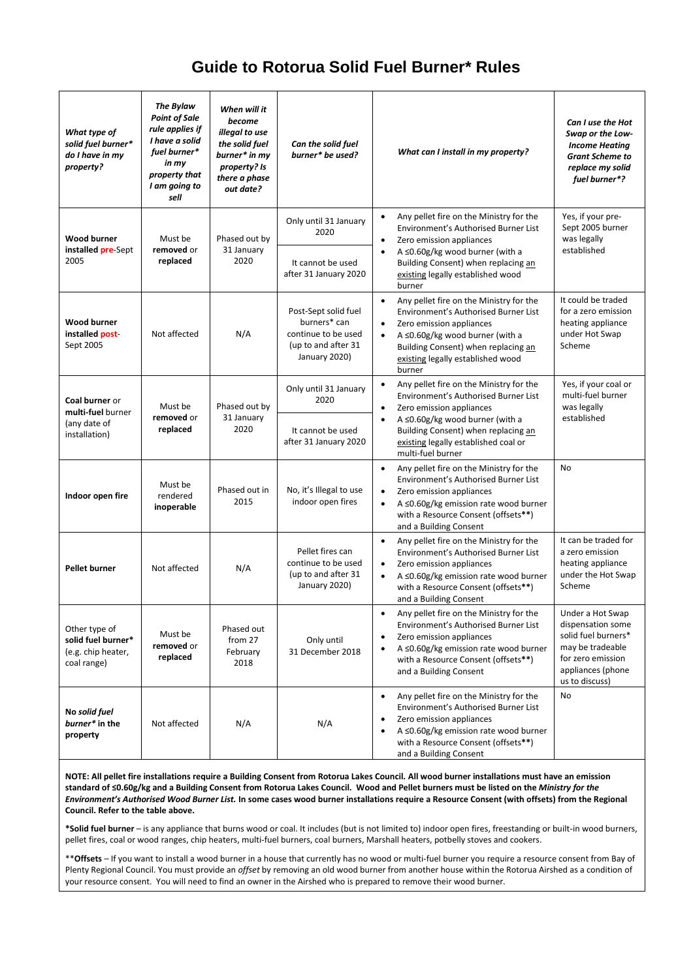# **Guide to Rotorua Solid Fuel Burner\* Rules**

| What type of<br>solid fuel burner*<br>do I have in my<br>property?       | The Bylaw<br><b>Point of Sale</b><br>rule applies if<br>I have a solid<br>fuel burner*<br>in my<br>property that<br>I am going to<br>sell | When will it<br>become<br>illegal to use<br>the solid fuel<br>burner* in my<br>property? Is<br>there a phase<br>out date? | Can the solid fuel<br>burner* be used?                                                              | What can I install in my property?                                                                                                                                                                                                                                           | Can I use the Hot<br>Swap or the Low-<br><b>Income Heating</b><br><b>Grant Scheme to</b><br>replace my solid<br>fuel burner*?                |
|--------------------------------------------------------------------------|-------------------------------------------------------------------------------------------------------------------------------------------|---------------------------------------------------------------------------------------------------------------------------|-----------------------------------------------------------------------------------------------------|------------------------------------------------------------------------------------------------------------------------------------------------------------------------------------------------------------------------------------------------------------------------------|----------------------------------------------------------------------------------------------------------------------------------------------|
| <b>Wood burner</b><br>installed pre-Sept<br>2005                         | Must be<br>removed or<br>replaced                                                                                                         | Phased out by<br>31 January<br>2020                                                                                       | Only until 31 January<br>2020<br>It cannot be used<br>after 31 January 2020                         | Any pellet fire on the Ministry for the<br>$\bullet$<br>Environment's Authorised Burner List<br>Zero emission appliances<br>$\bullet$<br>A $\leq$ 0.60g/kg wood burner (with a<br>Building Consent) when replacing an<br>existing legally established wood<br>burner         | Yes, if your pre-<br>Sept 2005 burner<br>was legally<br>established                                                                          |
| <b>Wood burner</b><br>installed post<br>Sept 2005                        | Not affected                                                                                                                              | N/A                                                                                                                       | Post-Sept solid fuel<br>burners* can<br>continue to be used<br>(up to and after 31<br>January 2020) | Any pellet fire on the Ministry for the<br>Environment's Authorised Burner List<br>Zero emission appliances<br>A $\leq$ 0.60g/kg wood burner (with a<br>Building Consent) when replacing an<br>existing legally established wood<br>burner                                   | It could be traded<br>for a zero emission<br>heating appliance<br>under Hot Swap<br>Scheme                                                   |
| Coal burner or<br>multi-fuel burner<br>(any date of<br>installation)     | Must be<br>removed or<br>replaced                                                                                                         | Phased out by<br>31 January<br>2020                                                                                       | Only until 31 January<br>2020<br>It cannot be used<br>after 31 January 2020                         | Any pellet fire on the Ministry for the<br>$\bullet$<br>Environment's Authorised Burner List<br>Zero emission appliances<br>$\bullet$<br>A ≤0.60g/kg wood burner (with a<br>Building Consent) when replacing an<br>existing legally established coal or<br>multi-fuel burner | Yes, if your coal or<br>multi-fuel burner<br>was legally<br>established                                                                      |
| Indoor open fire                                                         | Must be<br>rendered<br>inoperable                                                                                                         | Phased out in<br>2015                                                                                                     | No, it's Illegal to use<br>indoor open fires                                                        | Any pellet fire on the Ministry for the<br>$\bullet$<br>Environment's Authorised Burner List<br>Zero emission appliances<br>A ≤0.60g/kg emission rate wood burner<br>with a Resource Consent (offsets**)<br>and a Building Consent                                           | No                                                                                                                                           |
| <b>Pellet burner</b>                                                     | Not affected                                                                                                                              | N/A                                                                                                                       | Pellet fires can<br>continue to be used<br>(up to and after 31<br>January 2020)                     | Any pellet fire on the Ministry for the<br>٠<br>Environment's Authorised Burner List<br>Zero emission appliances<br>A ≤0.60g/kg emission rate wood burner<br>with a Resource Consent (offsets**)<br>and a Building Consent                                                   | It can be traded for<br>a zero emission<br>heating appliance<br>under the Hot Swap<br>Scheme                                                 |
| Other type of<br>solid fuel burner*<br>(e.g. chip heater,<br>coal range) | Must be<br>removed or<br>replaced                                                                                                         | Phased out<br>from 27<br>February<br>2018                                                                                 | Only until<br>31 December 2018                                                                      | Any pellet fire on the Ministry for the<br>Environment's Authorised Burner List<br>Zero emission appliances<br>٠<br>A $\leq$ 0.60g/kg emission rate wood burner<br>with a Resource Consent (offsets**)<br>and a Building Consent                                             | Under a Hot Swap<br>dispensation some<br>solid fuel burners*<br>may be tradeable<br>for zero emission<br>appliances (phone<br>us to discuss) |
| No solid fuel<br>burner* in the<br>property                              | Not affected                                                                                                                              | N/A                                                                                                                       | N/A                                                                                                 | Any pellet fire on the Ministry for the<br>٠<br>Environment's Authorised Burner List<br>Zero emission appliances<br>A ≤0.60g/kg emission rate wood burner<br>with a Resource Consent (offsets**)<br>and a Building Consent                                                   | No                                                                                                                                           |

**NOTE: All pellet fire installations require a Building Consent from Rotorua Lakes Council. All wood burner installations must have an emission standard of ≤0.60g/kg and a Building Consent from Rotorua Lakes Council. Wood and Pellet burners must be listed on the** *Ministry for the Environment's Authorised Wood Burner List.* **In some cases wood burner installations require a Resource Consent (with offsets) from the Regional Council. Refer to the table above.**

**\*Solid fuel burner** – is any appliance that burns wood or coal. It includes (but is not limited to) indoor open fires, freestanding or built-in wood burners, pellet fires, coal or wood ranges, chip heaters, multi-fuel burners, coal burners, Marshall heaters, potbelly stoves and cookers.

\*\***Offsets** – If you want to install a wood burner in a house that currently has no wood or multi-fuel burner you require a resource consent from Bay of Plenty Regional Council. You must provide an *offset* by removing an old wood burner from another house within the Rotorua Airshed as a condition of your resource consent. You will need to find an owner in the Airshed who is prepared to remove their wood burner.